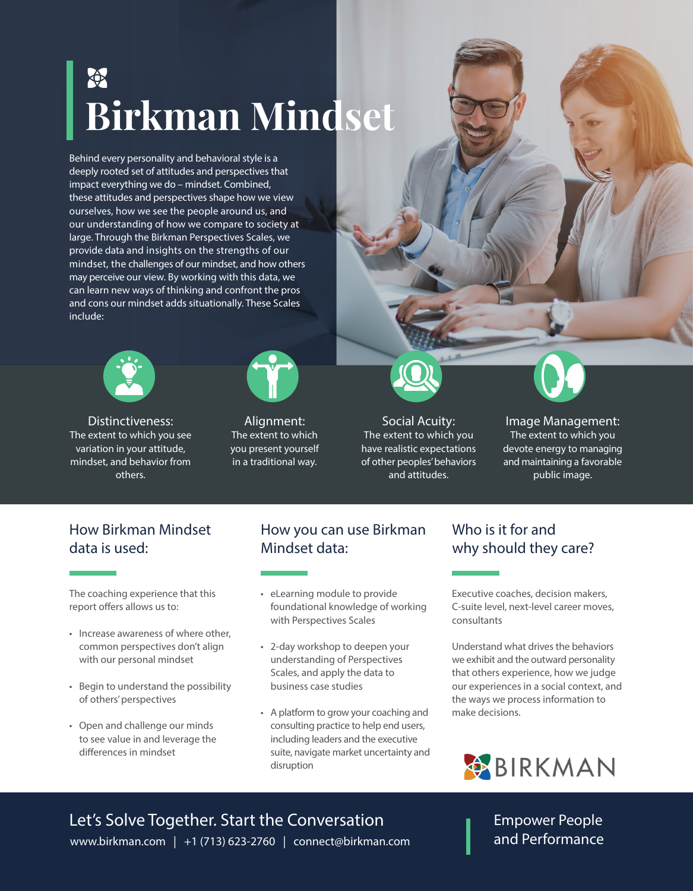## **Birkman Mindset**

Behind every personality and behavioral style is a deeply rooted set of attitudes and perspectives that impact everything we do – mindset. Combined, these attitudes and perspectives shape how we view ourselves, how we see the people around us, and our understanding of how we compare to society at large. Through the Birkman Perspectives Scales, we provide data and insights on the strengths of our mindset, the challenges of our mindset, and how others may perceive our view. By working with this data, we can learn new ways of thinking and confront the pros and cons our mindset adds situationally. These Scales include:



Distinctiveness: The extent to which you see variation in your attitude, mindset, and behavior from others.



Alignment: The extent to which you present yourself in a traditional way.



Social Acuity: The extent to which you have realistic expectations of other peoples' behaviors and attitudes.

Image Management: The extent to which you devote energy to managing and maintaining a favorable

public image.

## How Birkman Mindset data is used:

The coaching experience that this report offers allows us to:

- Increase awareness of where other, common perspectives don't align with our personal mindset
- Begin to understand the possibility of others' perspectives
- Open and challenge our minds to see value in and leverage the differences in mindset

## How you can use Birkman Mindset data:

- eLearning module to provide foundational knowledge of working with Perspectives Scales
- 2-day workshop to deepen your understanding of Perspectives Scales, and apply the data to business case studies
- A platform to grow your coaching and consulting practice to help end users, including leaders and the executive suite, navigate market uncertainty and disruption

## Who is it for and why should they care?

Executive coaches, decision makers, C-suite level, next-level career moves, consultants

Understand what drives the behaviors we exhibit and the outward personality that others experience, how we judge our experiences in a social context, and the ways we process information to make decisions.



www.birkman.com | +1 (713) 623-2760 | connect@birkman.com Let's Solve Together. Start the Conversation

Empower People and Performance